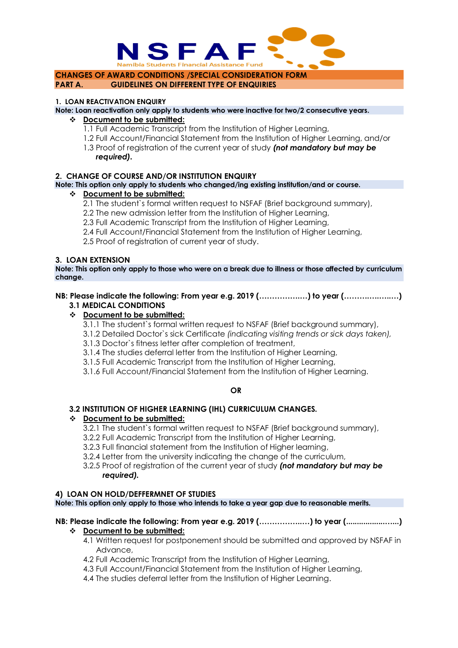

**CHANGES OF AWARD CONDITIONS /SPECIAL CONSIDERATION FORM PART A. GUIDELINES ON DIFFERENT TYPE OF ENQUIRIES**

#### **1. LOAN REACTIVATION ENQUIRY**

**Note: Loan reactivation only apply to students who were inactive for two/2 consecutive years.**

#### **Document to be submitted:**

- 1.1 Full Academic Transcript from the Institution of Higher Learning,
- 1.2 Full Account/Financial Statement from the Institution of Higher Learning, and/or
- 1.3 Proof of registration of the current year of study *(not mandatory but may be required).*

#### **2. CHANGE OF COURSE AND/OR INSTITUTION ENQUIRY**

## **Note: This option only apply to students who changed/ing existing institution/and or course.**

#### **Document to be submitted:**

- 2.1 The student`s formal written request to NSFAF (Brief background summary),
- 2.2 The new admission letter from the Institution of Higher Learning,
- 2.3 Full Academic Transcript from the Institution of Higher Learning,
- 2.4 Full Account/Financial Statement from the Institution of Higher Learning,
- 2.5 Proof of registration of current year of study.

#### **3. LOAN EXTENSION**

**Note: This option only apply to those who were on a break due to illness or those affected by curriculum change.**

# **NB: Please indicate the following: From year e.g. 2019 (…………….…) to year (……….….…..…)**

## **3.1 MEDICAL CONDITIONS**

## **Document to be submitted:**

3.1.1 The student`s formal written request to NSFAF (Brief background summary),

- 3.1.2 Detailed Doctor`s sick Certificate *(indicating visiting trends or sick days taken),*
- 3.1.3 Doctor`s fitness letter after completion of treatment,
- 3.1.4 The studies deferral letter from the Institution of Higher Learning,
- 3.1.5 Full Academic Transcript from the Institution of Higher Learning,
- 3.1.6 Full Account/Financial Statement from the Institution of Higher Learning.

#### **OR**

## **3.2 INSTITUTION OF HIGHER LEARNING (IHL) CURRICULUM CHANGES.**

#### **Document to be submitted:**

3.2.1 The student`s formal written request to NSFAF (Brief background summary),

- 3.2.2 Full Academic Transcript from the Institution of Higher Learning,
- 3.2.3 Full financial statement from the Institution of Higher learning,
- 3.2.4 Letter from the university indicating the change of the curriculum,
- 3.2.5 Proof of registration of the current year of study *(not mandatory but may be required).*

#### **4) LOAN ON HOLD/DEFFERMNET OF STUDIES**

**Note: This option only apply to those who intends to take a year gap due to reasonable merits.**

# **NB: Please indicate the following: From year e.g. 2019 (……………..…) to year (..................…...)**

#### **Document to be submitted:**

- 4.1 Written request for postponement should be submitted and approved by NSFAF in Advance,
- 4.2 Full Academic Transcript from the Institution of Higher Learning,
- 4.3 Full Account/Financial Statement from the Institution of Higher Learning,
- 4.4 The studies deferral letter from the Institution of Higher Learning.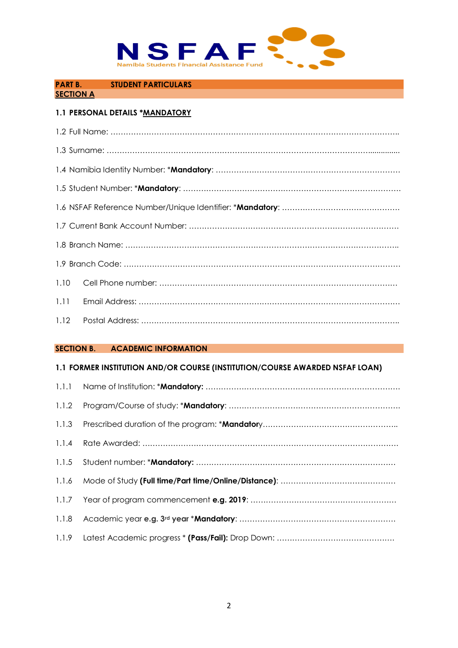

## **PART B. STUDENT PARTICULARS**

## **SECTION A**

# **1.1 PERSONAL DETAILS \*MANDATORY**

| 1.10 |  |
|------|--|
| 1.11 |  |
| 1.12 |  |

#### **SECTION B. ACADEMIC INFORMATION**

## **1.1 FORMER INSTITUTION AND/OR COURSE (INSTITUTION/COURSE AWARDED NSFAF LOAN)**